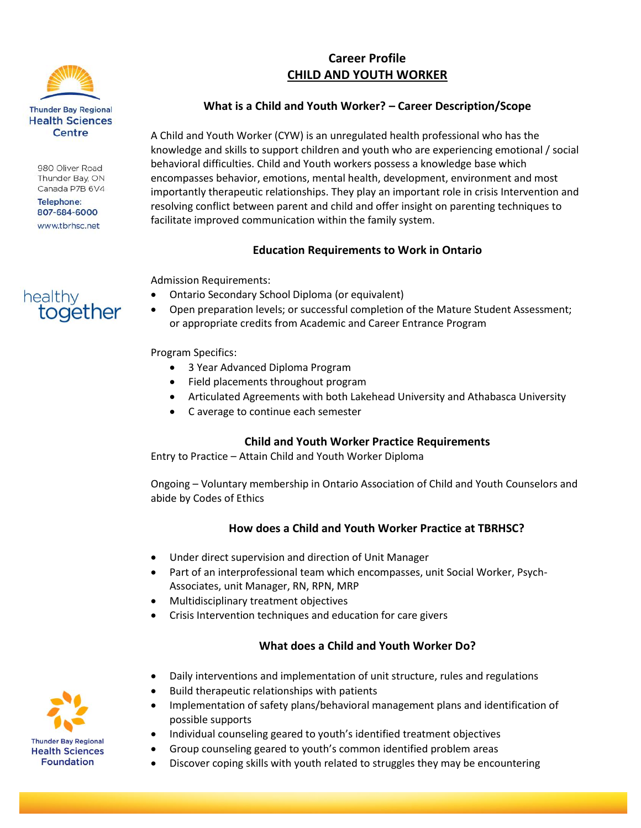

980 Oliver Road Thunder Bay, ON Canada P7B 6V4

**Telephone:** 807-684-6000 www.tbrhsc.net

together

healthy

# **Career Profile CHILD AND YOUTH WORKER**

### **What is a Child and Youth Worker? – Career Description/Scope**

A Child and Youth Worker (CYW) is an unregulated health professional who has the knowledge and skills to support children and youth who are experiencing emotional / social behavioral difficulties. Child and Youth workers possess a knowledge base which encompasses behavior, emotions, mental health, development, environment and most importantly therapeutic relationships. They play an important role in crisis Intervention and resolving conflict between parent and child and offer insight on parenting techniques to facilitate improved communication within the family system.

## **Education Requirements to Work in Ontario**

Admission Requirements:

- Ontario Secondary School Diploma (or equivalent)
- Open preparation levels; or successful completion of the Mature Student Assessment; or appropriate credits from Academic and Career Entrance Program

#### Program Specifics:

- 3 Year Advanced Diploma Program
- Field placements throughout program
- Articulated Agreements with both Lakehead University and Athabasca University
- C average to continue each semester

#### **Child and Youth Worker Practice Requirements**

Entry to Practice – Attain Child and Youth Worker Diploma

Ongoing – Voluntary membership in Ontario Association of Child and Youth Counselors and abide by Codes of Ethics

#### **How does a Child and Youth Worker Practice at TBRHSC?**

- Under direct supervision and direction of Unit Manager
- Part of an interprofessional team which encompasses, unit Social Worker, Psych-Associates, unit Manager, RN, RPN, MRP
- Multidisciplinary treatment objectives
- Crisis Intervention techniques and education for care givers

## **What does a Child and Youth Worker Do?**

- Daily interventions and implementation of unit structure, rules and regulations
- Build therapeutic relationships with patients
- Implementation of safety plans/behavioral management plans and identification of possible supports
- Individual counseling geared to youth's identified treatment objectives
- Group counseling geared to youth's common identified problem areas
- Discover coping skills with youth related to struggles they may be encountering